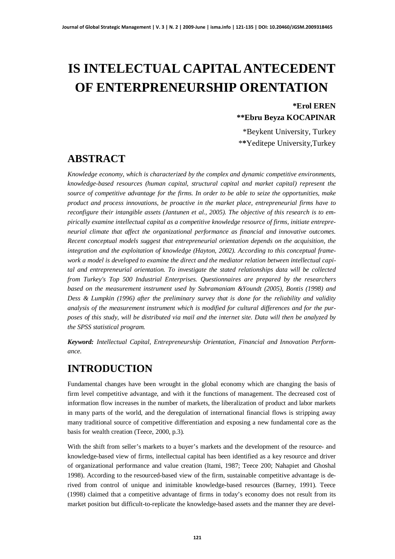# **IS INTELECTUAL CAPITAL ANTECEDENT OF ENTERPRENEURSHIP ORENTATION**

#### **\*Erol EREN \*\*Ebru Beyza KOCAPINAR**

\*Beykent University, Turkey \***\***Yeditepe University,Turkey

## **ABSTRACT**

*Knowledge economy, which is characterized by the complex and dynamic competitive environments, knowledge-based resources (human capital, structural capital and market capital) represent the source of competitive advantage for the firms. In order to be able to seize the opportunities, make product and process innovations, be proactive in the market place, entrepreneurial firms have to reconfigure their intangible assets (Jantunen et al., 2005). The objective of this research is to empirically examine intellectual capital as a competitive knowledge resource of firms, initiate entrepreneurial climate that affect the organizational performance as financial and innovative outcomes. Recent conceptual models suggest that entrepreneurial orientation depends on the acquisition, the integration and the exploitation of knowledge (Hayton, 2002). According to this conceptual framework a model is developed to examine the direct and the mediator relation between intellectual capital and entrepreneurial orientation. To investigate the stated relationships data will be collected from Turkey's Top 500 Industrial Enterprises. Questionnaires are prepared by the researchers based on the measurement instrument used by Subramaniam &Youndt (2005), Bontis (1998) and Dess & Lumpkin (1996) after the preliminary survey that is done for the reliability and validity analysis of the measurement instrument which is modified for cultural differences and for the purposes of this study, will be distributed via mail and the internet site. Data will then be analyzed by the SPSS statistical program.*

*Keyword: Intellectual Capital, Entrepreneurship Orientation, Financial and Innovation Performance.*

## **INTRODUCTION**

Fundamental changes have been wrought in the global economy which are changing the basis of firm level competitive advantage, and with it the functions of management. The decreased cost of information flow increases in the number of markets, the liberalization of product and labor markets in many parts of the world, and the deregulation of international financial flows is stripping away many traditional source of competitive differentiation and exposing a new fundamental core as the basis for wealth creation (Teece, 2000, p.3).

With the shift from seller's markets to a buyer's markets and the development of the resource- and knowledge-based view of firms, intellectual capital has been identified as a key resource and driver of organizational performance and value creation (Itami, 1987; Teece 200; Nahapiet and Ghoshal 1998). According to the resourced-based view of the firm, sustainable competitive advantage is derived from control of unique and inimitable knowledge-based resources (Barney, 1991). Teece (1998) claimed that a competitive advantage of firms in today's economy does not result from its market position but difficult-to-replicate the knowledge-based assets and the manner they are devel-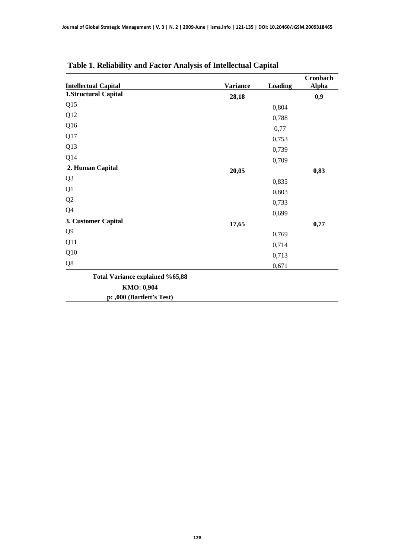| <b>Intellectual Capital</b>            | <b>Variance</b> | <b>Loading</b> | Cronbach<br><b>Alpha</b> |
|----------------------------------------|-----------------|----------------|--------------------------|
| <b>1.Structural Capital</b>            | 28,18           |                | 0,9                      |
| Q15                                    |                 | 0,804          |                          |
| Q12                                    |                 | 0,788          |                          |
| Q16                                    |                 | 0,77           |                          |
| Q17                                    |                 | 0,753          |                          |
| Q13                                    |                 | 0,739          |                          |
| Q14                                    |                 | 0,709          |                          |
| 2. Human Capital                       | 20,05           |                | 0,83                     |
| Q <sub>3</sub>                         |                 | 0,835          |                          |
| Q1                                     |                 | 0,803          |                          |
| Q2                                     |                 | 0,733          |                          |
| Q4                                     |                 | 0,699          |                          |
| 3. Customer Capital                    | 17,65           |                | 0,77                     |
| Q <sub>9</sub>                         |                 | 0,769          |                          |
| Q11                                    |                 | 0,714          |                          |
| Q10                                    |                 | 0,713          |                          |
| Q8                                     |                 | 0,671          |                          |
| <b>Total Variance explained %65,88</b> |                 |                |                          |
| KMO: 0,904                             |                 |                |                          |
| p: ,000 (Bartlett's Test)              |                 |                |                          |

## **Table 1. Reliability and Factor Analysis of Intellectual Capital**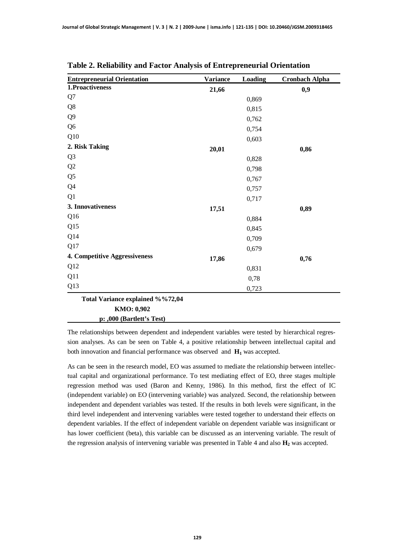| <b>Entrepreneurial Orientation</b> | <b>Variance</b> | Loading | <b>Cronbach Alpha</b> |
|------------------------------------|-----------------|---------|-----------------------|
| 1.Proactiveness                    | 21,66           |         | 0,9                   |
| Q7                                 |                 | 0,869   |                       |
| Q8                                 |                 | 0,815   |                       |
| Q <sub>9</sub>                     |                 | 0,762   |                       |
| Q <sub>6</sub>                     |                 | 0,754   |                       |
| Q10                                |                 | 0,603   |                       |
| 2. Risk Taking                     | 20,01           |         | 0,86                  |
| Q <sub>3</sub>                     |                 | 0,828   |                       |
| Q2                                 |                 | 0,798   |                       |
| Q <sub>5</sub>                     |                 | 0,767   |                       |
| Q4                                 |                 | 0,757   |                       |
| Q1                                 |                 | 0,717   |                       |
| 3. Innovativeness                  | 17,51           |         | 0,89                  |
| Q <sub>16</sub>                    |                 | 0,884   |                       |
| Q15                                |                 | 0,845   |                       |
| Q14                                |                 | 0,709   |                       |
| Q17                                |                 | 0,679   |                       |
| 4. Competitive Aggressiveness      | 17,86           |         | 0,76                  |
| Q12                                |                 | 0,831   |                       |
| Q11                                |                 | 0,78    |                       |
| Q13                                |                 | 0,723   |                       |
| Total Variance explained %%72,04   |                 |         |                       |

**Table 2. Reliability and Factor Analysis of Entrepreneurial Orientation**

**KMO: 0,902**

**p: ,000 (Bartlett's Test)**

The relationships between dependent and independent variables were tested by hierarchical regression analyses. As can be seen on Table 4, a positive relationship between intellectual capital and both innovation and financial performance was observed and **H1** was accepted.

As can be seen in the research model, EO was assumed to mediate the relationship between intellectual capital and organizational performance. To test mediating effect of EO, three stages multiple regression method was used (Baron and Kenny, 1986). In this method, first the effect of IC (independent variable) on EO (intervening variable) was analyzed. Second, the relationship between independent and dependent variables was tested. If the results in both levels were significant, in the third level independent and intervening variables were tested together to understand their effects on dependent variables. If the effect of independent variable on dependent variable was insignificant or has lower coefficient (beta), this variable can be discussed as an intervening variable. The result of the regression analysis of intervening variable was presented in Table 4 and also **H2** was accepted.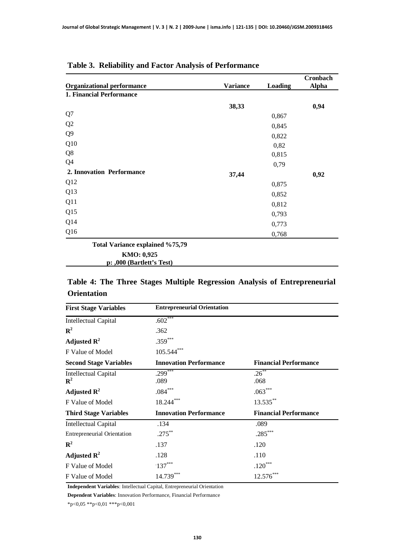|                                         |                 |                | Cronbach     |
|-----------------------------------------|-----------------|----------------|--------------|
| <b>Organizational performance</b>       | <b>Variance</b> | <b>Loading</b> | <b>Alpha</b> |
| 1. Financial Performance                |                 |                |              |
|                                         | 38,33           |                | 0,94         |
| Q7                                      |                 | 0,867          |              |
| Q2                                      |                 | 0,845          |              |
| Q <sub>9</sub>                          |                 | 0,822          |              |
| Q10                                     |                 | 0,82           |              |
| Q8                                      |                 | 0,815          |              |
| Q4                                      |                 | 0,79           |              |
| 2. Innovation Performance               | 37,44           |                | 0,92         |
| Q12                                     |                 | 0,875          |              |
| Q13                                     |                 | 0,852          |              |
| Q11                                     |                 | 0,812          |              |
| Q15                                     |                 | 0,793          |              |
| Q14                                     |                 | 0,773          |              |
| Q16                                     |                 | 0,768          |              |
| <b>Total Variance explained %75,79</b>  |                 |                |              |
| KMO: 0,925<br>p: ,000 (Bartlett's Test) |                 |                |              |

#### **Table 3. Reliability and Factor Analysis of Performance**

#### **Table 4: The Three Stages Multiple Regression Analysis of Entrepreneurial Orientation**

| <b>First Stage Variables</b>                  | <b>Entrepreneurial Orientation</b> |                              |
|-----------------------------------------------|------------------------------------|------------------------------|
| <b>Intellectual Capital</b>                   | $.602***$                          |                              |
| ${\bf R}^2$                                   | .362                               |                              |
| Adjusted $\mathbb{R}^2$                       | $.359***$                          |                              |
| F Value of Model                              | $105.544***$                       |                              |
| <b>Second Stage Variables</b>                 | <b>Innovation Performance</b>      | <b>Financial Performance</b> |
| <b>Intellectual Capital</b><br>$\mathbf{R}^2$ | $.299***$<br>.089                  | $.26***$<br>.068             |
| Adjusted $\mathbf{R}^2$                       | $.084***$                          | $.063***$                    |
| F Value of Model                              | $18.244***$                        | 13.535**                     |
| <b>Third Stage Variables</b>                  | <b>Innovation Performance</b>      | <b>Financial Performance</b> |
| <b>Intellectual Capital</b>                   | .134                               | .089                         |
| <b>Entrepreneurial Orientation</b>            | $.275***$                          | $.285***$                    |
| ${\bf R}^2$                                   | .137                               | .120                         |
| Adjusted $\mathbf{R}^2$                       | .128                               | .110                         |
| F Value of Model                              | $137***$                           | $.120***$                    |
| F Value of Model                              | 14.739***                          | $12.576***$                  |

**Independent Variables**: Intellectual Capital, Entrepreneurial Orientation

**Dependent Variables**: Innovation Performance, Financial Performance

\*p<0,05 \*\*p<0,01 \*\*\*p<0,001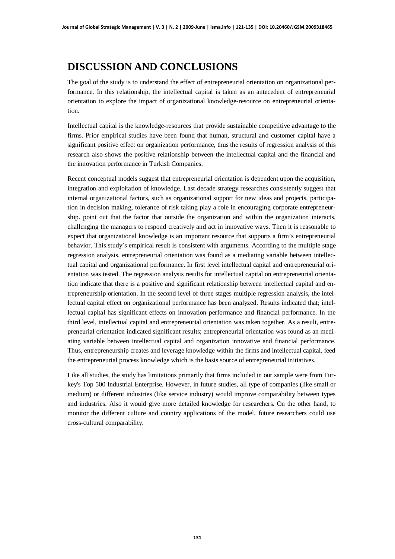# **DISCUSSION AND CONCLUSIONS**

The goal of the study is to understand the effect of entrepreneurial orientation on organizational performance. In this relationship, the intellectual capital is taken as an antecedent of entrepreneurial orientation to explore the impact of organizational knowledge-resource on entrepreneurial orientation.

Intellectual capital is the knowledge-resources that provide sustainable competitive advantage to the firms. Prior empirical studies have been found that human, structural and customer capital have a significant positive effect on organization performance, thus the results of regression analysis of this research also shows the positive relationship between the intellectual capital and the financial and the innovation performance in Turkish Companies.

Recent conceptual models suggest that entrepreneurial orientation is dependent upon the acquisition, integration and exploitation of knowledge. Last decade strategy researches consistently suggest that internal organizational factors, such as organizational support for new ideas and projects, participation in decision making, tolerance of risk taking play a role in encouraging corporate entrepreneurship. point out that the factor that outside the organization and within the organization interacts, challenging the managers to respond creatively and act in innovative ways. Then it is reasonable to expect that organizational knowledge is an important resource that supports a firm's entrepreneurial behavior. This study's empirical result is consistent with arguments. According to the multiple stage regression analysis, entrepreneurial orientation was found as a mediating variable between intellectual capital and organizational performance. In first level intellectual capital and entrepreneurial orientation was tested. The regression analysis results for intellectual capital on entrepreneurial orientation indicate that there is a positive and significant relationship between intellectual capital and entrepreneurship orientation. In the second level of three stages multiple regression analysis, the intellectual capital effect on organizational performance has been analyzed. Results indicated that; intellectual capital has significant effects on innovation performance and financial performance. In the third level, intellectual capital and entrepreneurial orientation was taken together. As a result, entrepreneurial orientation indicated significant results; entrepreneurial orientation was found as an mediating variable between intellectual capital and organization innovative and financial performance. Thus, entrepreneurship creates and leverage knowledge within the firms and intellectual capital, feed the entrepreneurial process knowledge which is the basis source of entrepreneurial initiatives.

Like all studies, the study has limitations primarily that firms included in our sample were from Turkey's Top 500 Industrial Enterprise. However, in future studies, all type of companies (like small or medium) or different industries (like service industry) would improve comparability between types and industries. Also it would give more detailed knowledge for researchers. On the other hand, to monitor the different culture and country applications of the model, future researchers could use cross-cultural comparability.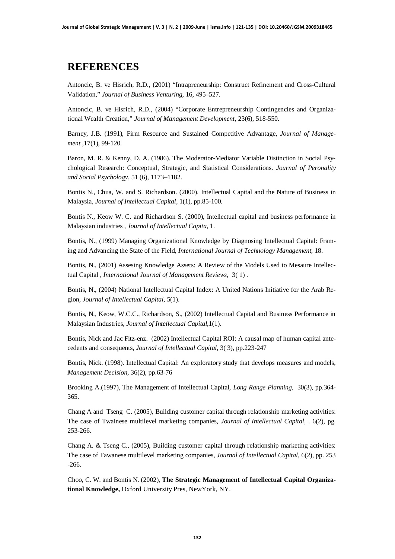### **REFERENCES**

Antoncic, B. ve Hisrich, R.D., (2001) "Intrapreneurship: Construct Refinement and Cross-Cultural Validation," *Journal of Business Venturing,* 16, 495–527.

Antoncic, B. ve Hisrich, R.D., (2004) "Corporate Entrepreneurship Contingencies and Organizational Wealth Creation," *Journal of Management Development*, 23(6), 518-550.

Barney, J.B. (1991), Firm Resource and Sustained Competitive Advantage, *Journal of Management* ,17(1), 99-120.

Baron, M. R. & Kenny, D. A. (1986). The Moderator-Mediator Variable Distinction in Social Psychological Research: Conceptual, Strategic, and Statistical Considerations. *Journal of Peronality and Social Psychology*, 51 (6), 1173–1182.

Bontis N., Chua, W. and S. Richardson. (2000). Intellectual Capital and the Nature of Business in Malaysia, *Journal of Intellectual Capital*, 1(1), pp.85-100.

Bontis N., Keow W. C. and Richardson S. (2000), Intellectual capital and business performance in Malaysian industries , *Journal of Intellectual Capita,* 1.

Bontis, N., (1999) Managing Organizational Knowledge by Diagnosing Intellectual Capital: Framing and Advancing the State of the Field, *International Journal of Technology Management*, 18.

Bontis, N., (2001) Assesing Knowledge Assets: A Review of the Models Used to Mesaure Intellectual Capital , *International Journal of Management Reviews*, 3( 1) .

Bontis, N., (2004) National Intellectual Capital Index: A United Nations Initiative for the Arab Region, *Journal of Intellectual Capital,* 5(1).

Bontis, N., Keow, W.C.C., Richardson, S., (2002) Intellectual Capital and Business Performance in Malaysian Industries, *Journal of Intellectual Capital*,1(1).

Bontis, Nick and Jac Fitz-enz. (2002) Intellectual Capital ROI: A causal map of human capital antecedents and consequents, *Journal of Intellectual Capital*, 3( 3), pp.223-247

Bontis, Nick. (1998). Intellectual Capital: An exploratory study that develops measures and models, *Management Decision*, 36(2), pp.63-76

Brooking A.(1997), The Management of Intellectual Capital, *Long Range Planning*, 30(3), pp.364- 365.

Chang A and Tseng C. (2005), Building customer capital through relationship marketing activities: The case of Twainese multilevel marketing companies, *Journal of Intellectual Capital,* . 6(2), pg. 253-266.

Chang A. & Tseng C., (2005), Building customer capital through relationship marketing activities: The case of Tawanese multilevel marketing companies, *Journal of Intellectual Capital,* 6(2), pp. 253 -266.

Choo, C. W. and Bontis N. (2002), **The Strategic Management of Intellectual Capital Organizational Knowledge,** Oxford University Pres, NewYork, NY.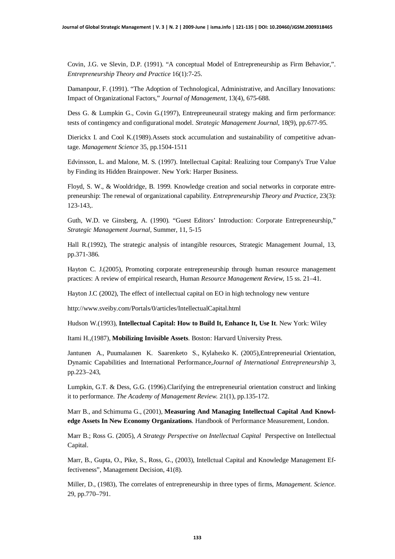Covin, J.G. ve Slevin, D.P. (1991). "A conceptual Model of Entrepreneurship as Firm Behavior,". *Entrepreneurship Theory and Practice* 16(1):7-25.

Damanpour, F. (1991). "The Adoption of Technological, Administrative, and Ancillary Innovations: Impact of Organizational Factors," *Journal of Management,* 13(4), 675-688.

Dess G. & Lumpkin G., Covin G.(1997), Entrepreuneurail strategy making and firm performance: tests of contingency and configurational model. *Strategic Management Journal*, 18(9), pp.677-95.

Dierickx I. and Cool K.(1989).Assets stock accumulation and sustainability of competitive advantage. *Management Science* 35, pp.1504-1511

Edvinsson, L. and Malone, M. S. (1997). Intellectual Capital: Realizing tour Company's True Value by Finding its Hidden Brainpower. New York: Harper Business.

Floyd, S. W., & Wooldridge, B. 1999. Knowledge creation and social networks in corporate entrepreneurship: The renewal of organizational capability. *Entrepreneurship Theory and Practice,* 23(3): 123-143,.

Guth, W.D. ve Ginsberg, A. (1990). "Guest Editors' Introduction: Corporate Entrepreneurship," *Strategic Management Journal,* Summer, 11, 5-15

Hall R.(1992), The strategic analysis of intangible resources, Strategic Management Journal, 13, pp.371-386.

Hayton C. J.(2005), Promoting corporate entrepreneurship through human resource management practices: A review of empirical research, Human *Resource Management Review*, 15 ss. 21–41.

Hayton J.C (2002), The effect of intellectual capital on EO in high technology new venture

<http://www.sveiby.com/Portals/0/articles/IntellectualCapital.html>

Hudson W.(1993), **Intellectual Capital: How to Build It, Enhance It, Use It**. New York: Wiley

Itami H.,(1987), **Mobilizing Invisible Assets**. Boston: Harvard University Press.

Jantunen A., Puumalainen K. Saarenketo S., Kylaheiko K. (2005),Entrepreneurial Orientation, Dynamic Capabilities and International Performance,*Journal of International Entrepreneurship* 3, pp.223–243,

Lumpkin, G.T. & Dess, G.G. (1996).Clarifying the entrepreneurial orientation construct and linking it to performance. *The Academy of Management Review.* 21(1), pp.135-172.

Marr B., and Schimuma G., (2001), **Measuring And Managing Intellectual Capital And Knowledge Assets In New Economy Organizations**. Handbook of Performance Measurement, London.

Marr B.; Ross G. (2005), *A Strategy Perspective on Intellectual Capital* Perspective on Intellectual Capital.

Marr, B., Gupta, O., Pike, S., Ross, G., (2003), Intellctual Capital and Knowledge Management Effectiveness", Management Decision, 41(8).

Miller, D., (1983), The correlates of entrepreneurship in three types of firms, *Management. Science*. 29, pp.770–791.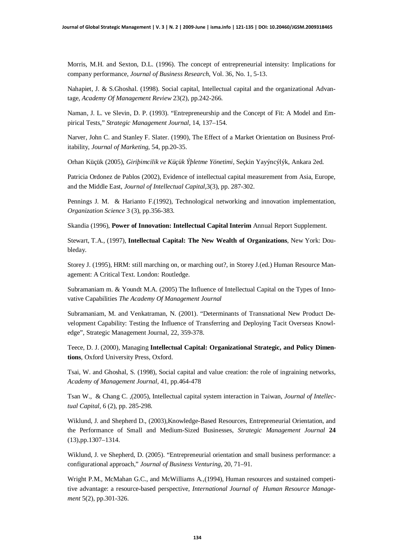Morris, M.H. and Sexton, D.L. (1996). The concept of entrepreneurial intensity: Implications for company performance, *Journal of Business Research*, Vol. 36, No. 1, 5-13.

Nahapiet, J. & S.Ghoshal. (1998). Social capital, Intellectual capital and the organizational Advantage, *Academy Of Management Review* 23(2), pp.242-266.

Naman, J. L. ve Slevin, D. P. (1993). "Entrepreneurship and the Concept of Fit: A Model and Empirical Tests," *Strategic Management Journal,* 14, 137–154.

Narver, John C. and Stanley F. Slater. (1990), The Effect of a Market Orientation on Business Profitability, *Journal of Marketing,* 54, pp.20-35.

Orhan Küçük (2005), *Giriþimcilik ve Küçük Ýþletme Yönetimi,* Seçkin Yayýncýlýk, Ankara 2ed.

Patricia Ordonez de Pablos (2002), Evidence of intellectual capital measurement from Asia, Europe, and the Middle East, *Journal of Intellectual Capital,*3(3), pp. 287-302.

Pennings J. M. & Harianto F.(1992), Technological networking and innovation implementation, *Organization Science* 3 (3), pp.356-383.

Skandia (1996), **Power of Innovation: Intellectual Capital Interim** Annual Report Supplement.

Stewart, T.A., (1997), **Intellectual Capital: The New Wealth of Organizations**, New York: Doubleday.

Storey J. (1995), HRM: still marching on, or marching out?, in Storey J.(ed.) Human Resource Management: A Critical Text. London: Routledge.

Subramaniam m. & Youndt M.A. (2005) The Influence of Intellectual Capital on the Types of Innovative Capabilities *The Academy Of Management Journal*

Subramaniam, M. and Venkatraman, N. (2001). "Determinants of Transnational New Product Development Capability: Testing the Influence of Transferring and Deploying Tacit Overseas Knowledge", Strategic Management Journal, 22, 359-378.

Teece, D. J. (2000), Managing **Intellectual Capital: Organizational Strategic, and Policy Dimentions**, Oxford University Press, Oxford.

Tsai, W. and Ghoshal, S. (1998), Social capital and value creation: the role of ingraining networks, *Academy of Management Journal,* 41, pp.464-478

Tsan W., & Chang C. ,(2005), Intellectual capital system interaction in Taiwan, *Journal of Intellectual Capital,* 6 (2), pp. 285-298.

Wiklund, J. and Shepherd D., (2003),Knowledge-Based Resources, Entrepreneurial Orientation, and the Performance of Small and Medium-Sized Businesses, *Strategic Management Journal* **24** (13),pp.1307–1314.

Wiklund, J. ve Shepherd, D. (2005). "Entrepreneurial orientation and small business performance: a configurational approach," *Journal of Business Venturing,* 20, 71–91.

Wright P.M., McMahan G.C., and McWilliams A.,(1994), Human resources and sustained competitive advantage: a resource-based perspective, *International Journal of Human Resource Management* 5(2), pp.301-326.